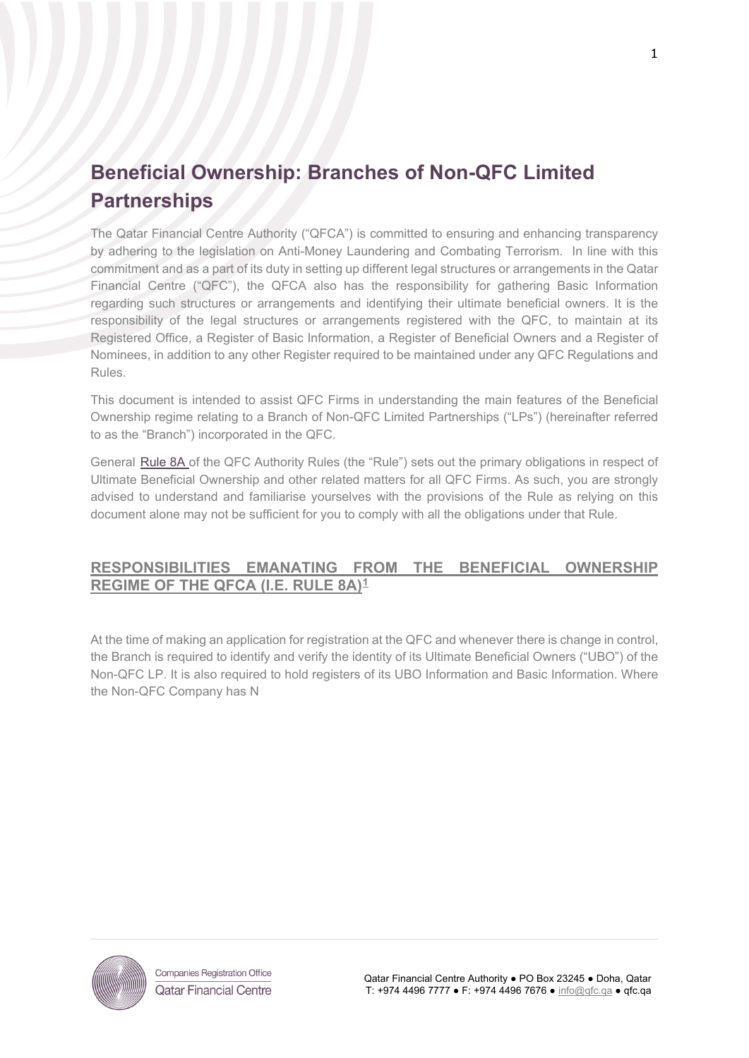# **Beneficial Ownership: Branches of Non-QFC Limited Partnerships**

The Qatar Financial Centre Authority ("QFCA") is committed to ensuring and enhancing transparency by adhering to the legislation on Anti-Money Laundering and Combating Terrorism. In line with this commitment and as a part of its duty in setting up different legal structures or arrangements in the Qatar Financial Centre ("QFC"), the QFCA also has the responsibility for gathering Basic Information regarding such structures or arrangements and identifying their ultimate beneficial owners. It is the responsibility of the legal structures or arrangements registered with the QFC, to maintain at its Registered Office, a Register of Basic Information, a Register of Beneficial Owners and a Register of Nominees, in addition to any other Register required to be maintained under any QFC Regulations and Rules.

This document is intended to assist QFC Firms in understanding the main features of the Beneficial Ownership regime relating to a Branch of Non-QFC Limited Partnerships ("LPs") (hereinafter referred to as the "Branch") incorporated in the QFC.

General [Rule 8A](https://qfcra-en.thomsonreuters.com/rulebook/qfca-rules-0) of the QFC Authority Rules (the "Rule") sets out the primary obligations in respect of Ultimate Beneficial Ownership and other related matters for all QFC Firms. As such, you are strongly advised to understand and familiarise yourselves with the provisions of the Rule as relying on this document alone may not be sufficient for you to comply with all the obligations under that Rule.

# **RESPONSIBILITIES EMANATING FROM THE BENEFICIAL OWNERSHIP REGIME OF THE QFCA (I.E. RULE 8A)[1](#page-0-0)**

At the time of making an application for registration at the QFC and whenever there is change in control, the Branch is required to identify and verify the identity of its Ultimate Beneficial Owners ("UBO") of the Non-QFC LP. It is also required to hold registers of its UBO Information and Basic Information. Where the Non-QFC Company has N

<span id="page-0-0"></span>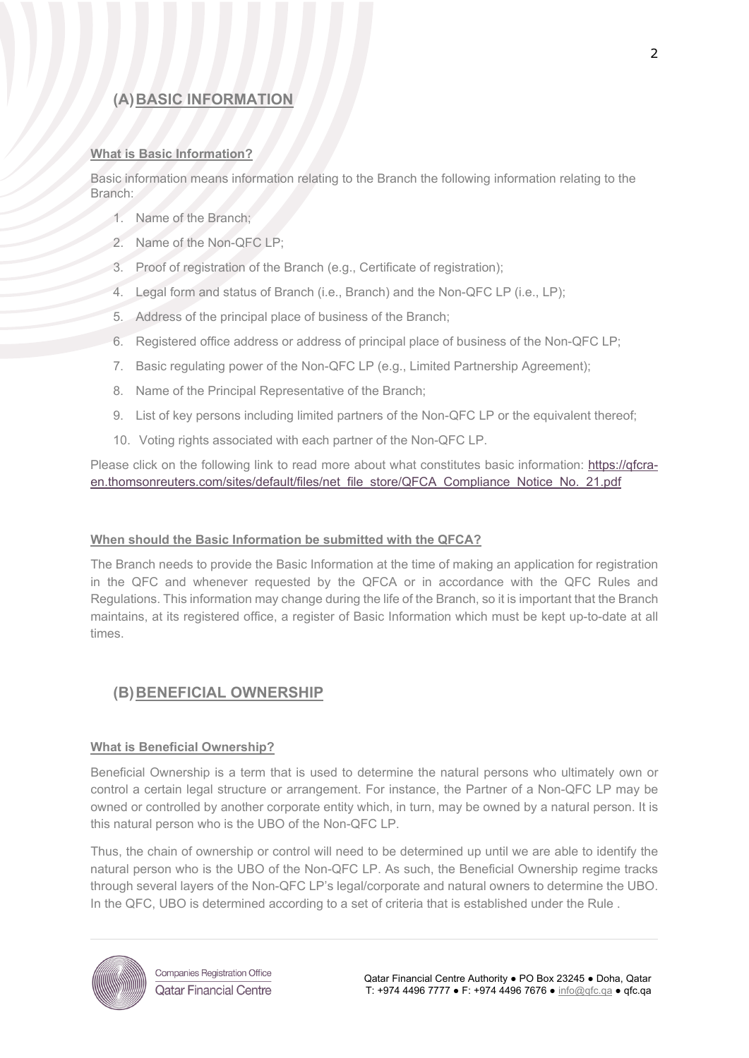# **(A)BASIC INFORMATION**

#### **What is Basic Information?**

Basic information means information relating to the Branch the following information relating to the Branch:

- 1. Name of the Branch;
- 2. Name of the Non-QFC LP;
- 3. Proof of registration of the Branch (e.g., Certificate of registration);
- 4. Legal form and status of Branch (i.e., Branch) and the Non-QFC LP (i.e., LP);
- 5. Address of the principal place of business of the Branch;
- 6. Registered office address or address of principal place of business of the Non-QFC LP;
- 7. Basic regulating power of the Non-QFC LP (e.g., Limited Partnership Agreement);
- 8. Name of the Principal Representative of the Branch;
- 9. List of key persons including limited partners of the Non-QFC LP or the equivalent thereof;
- 10. Voting rights associated with each partner of the Non-QFC LP.

Please click on the following link to read more about what constitutes basic information: [https://qfcra](https://qfcra-en.thomsonreuters.com/sites/default/files/net_file_store/QFCA_Compliance_Notice_No._21.pdf)[en.thomsonreuters.com/sites/default/files/net\\_file\\_store/QFCA\\_Compliance\\_Notice\\_No.\\_21.pdf](https://qfcra-en.thomsonreuters.com/sites/default/files/net_file_store/QFCA_Compliance_Notice_No._21.pdf)

#### **When should the Basic Information be submitted with the QFCA?**

The Branch needs to provide the Basic Information at the time of making an application for registration in the QFC and whenever requested by the QFCA or in accordance with the QFC Rules and Regulations. This information may change during the life of the Branch, so it is important that the Branch maintains, at its registered office, a register of Basic Information which must be kept up-to-date at all times.

# **(B)BENEFICIAL OWNERSHIP**

#### **What is Beneficial Ownership?**

Beneficial Ownership is a term that is used to determine the natural persons who ultimately own or control a certain legal structure or arrangement. For instance, the Partner of a Non-QFC LP may be owned or controlled by another corporate entity which, in turn, may be owned by a natural person. It is this natural person who is the UBO of the Non-QFC LP.

Thus, the chain of ownership or control will need to be determined up until we are able to identify the natural person who is the UBO of the Non-QFC LP. As such, the Beneficial Ownership regime tracks through several layers of the Non-QFC LP's legal/corporate and natural owners to determine the UBO. In the QFC, UBO is determined according to a set of criteria that is established under the [Rule .](https://qfcra-en.thomsonreuters.com/rulebook/qfca-rules-0)



**Companies Registration Office Qatar Financial Centre**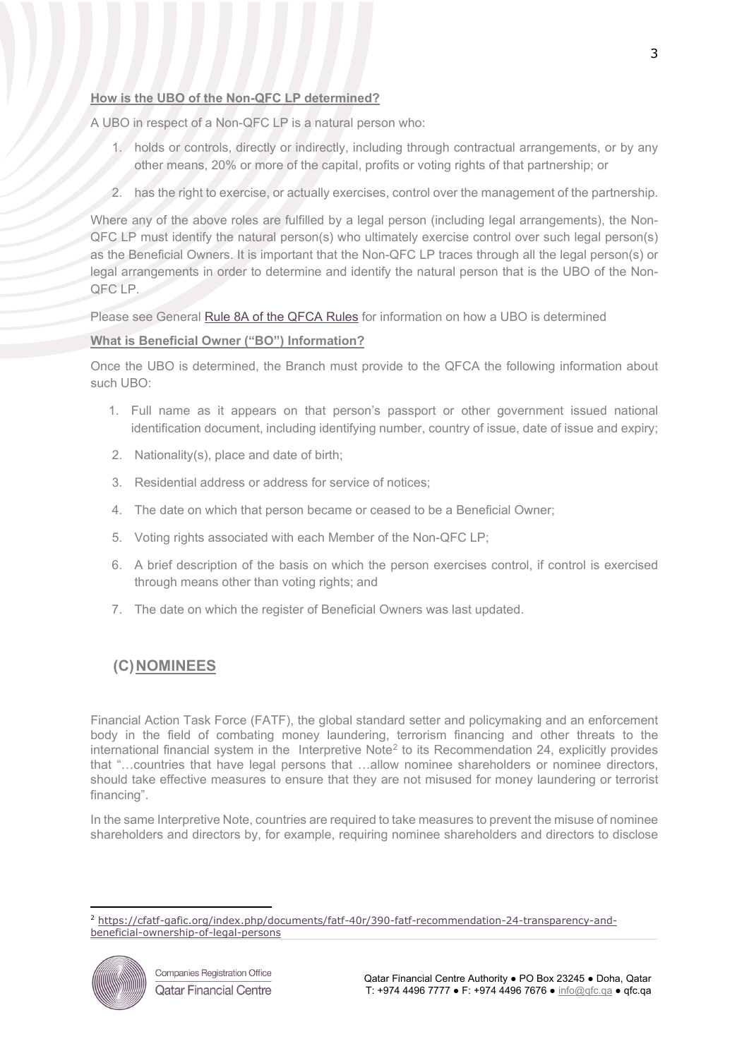### **How is the UBO of the Non-QFC LP determined?**

A UBO in respect of a Non-QFC LP is a natural person who:

- 1. holds or controls, directly or indirectly, including through contractual arrangements, or by any other means, 20% or more of the capital, profits or voting rights of that partnership; or
- 2. has the right to exercise, or actually exercises, control over the management of the partnership.

Where any of the above roles are fulfilled by a legal person (including legal arrangements), the Non-QFC LP must identify the natural person(s) who ultimately exercise control over such legal person(s) as the Beneficial Owners. It is important that the Non-QFC LP traces through all the legal person(s) or legal arrangements in order to determine and identify the natural person that is the UBO of the Non-QFC LP.

Please see General [Rule 8A](https://qfcra-en.thomsonreuters.com/rulebook/qfca-rules-0) of the QFCA Rules for information on how a UBO is determined

#### **What is Beneficial Owner ("BO") Information?**

Once the UBO is determined, the Branch must provide to the QFCA the following information about such UBO:

- 1. Full name as it appears on that person's passport or other government issued national identification document, including identifying number, country of issue, date of issue and expiry;
- 2. Nationality(s), place and date of birth;
- 3. Residential address or address for service of notices;
- 4. The date on which that person became or ceased to be a Beneficial Owner;
- 5. Voting rights associated with each Member of the Non-QFC LP;
- 6. A brief description of the basis on which the person exercises control, if control is exercised through means other than voting rights; and
- 7. The date on which the register of Beneficial Owners was last updated.

# **(C)NOMINEES**

Financial Action Task Force (FATF), the global standard setter and policymaking and an enforcement body in the field of combating money laundering, terrorism financing and other threats to the international financial system in the Interpretive Note<sup>[2](#page-2-0)</sup> to its Recommendation 24, explicitly provides that "…countries that have legal persons that …allow nominee shareholders or nominee directors, should take effective measures to ensure that they are not misused for money laundering or terrorist financing".

In the same Interpretive Note, countries are required to take measures to prevent the misuse of nominee shareholders and directors by, for example, requiring nominee shareholders and directors to disclose

<span id="page-2-0"></span><sup>2</sup> [https://cfatf-gafic.org/index.php/documents/fatf-40r/390-fatf-recommendation-24-transparency-and](https://cfatf-gafic.org/index.php/documents/fatf-40r/390-fatf-recommendation-24-transparency-and-beneficial-ownership-of-legal-persons)[beneficial-ownership-of-legal-persons](https://cfatf-gafic.org/index.php/documents/fatf-40r/390-fatf-recommendation-24-transparency-and-beneficial-ownership-of-legal-persons)